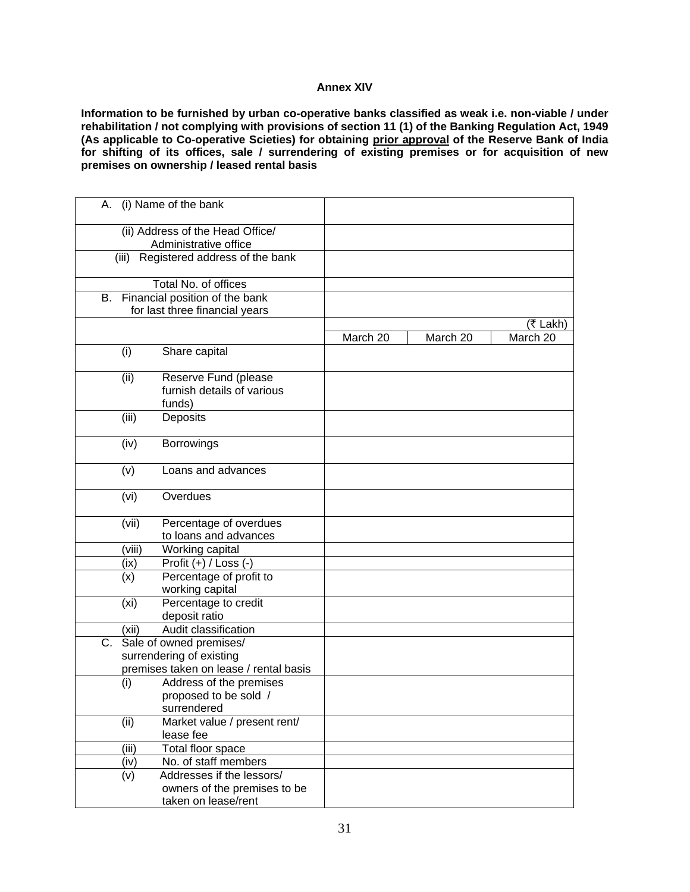## **Annex XIV**

**Information to be furnished by urban co-operative banks classified as weak i.e. non-viable / under rehabilitation / not complying with provisions of section 11 (1) of the Banking Regulation Act, 1949 (As applicable to Co-operative Scieties) for obtaining prior approval of the Reserve Bank of India for shifting of its offices, sale / surrendering of existing premises or for acquisition of new premises on ownership / leased rental basis** 

| A. (i) Name of the bank                                   |                         |                                           |          |          |          |
|-----------------------------------------------------------|-------------------------|-------------------------------------------|----------|----------|----------|
| (ii) Address of the Head Office/<br>Administrative office |                         |                                           |          |          |          |
|                                                           |                         | (iii) Registered address of the bank      |          |          |          |
|                                                           |                         | Total No. of offices                      |          |          |          |
| В.                                                        |                         | Financial position of the bank            |          |          |          |
|                                                           |                         | for last three financial years            |          |          |          |
|                                                           |                         |                                           |          |          | (₹ Lakh) |
|                                                           |                         |                                           | March 20 | March 20 | March 20 |
|                                                           | (i)                     | Share capital                             |          |          |          |
|                                                           | (ii)                    | Reserve Fund (please                      |          |          |          |
|                                                           |                         | furnish details of various<br>funds)      |          |          |          |
|                                                           | (iii)                   | Deposits                                  |          |          |          |
|                                                           |                         |                                           |          |          |          |
|                                                           | (iv)                    | <b>Borrowings</b>                         |          |          |          |
|                                                           | (v)                     | Loans and advances                        |          |          |          |
|                                                           | (vi)                    | Overdues                                  |          |          |          |
|                                                           | (vii)                   | Percentage of overdues                    |          |          |          |
|                                                           |                         | to loans and advances                     |          |          |          |
|                                                           | (viii)                  | Working capital                           |          |          |          |
|                                                           | (ix)                    | Profit (+) / Loss (-)                     |          |          |          |
|                                                           | (x)                     | Percentage of profit to                   |          |          |          |
|                                                           |                         | working capital                           |          |          |          |
|                                                           | (x <sub>i</sub> )       | Percentage to credit                      |          |          |          |
|                                                           |                         | deposit ratio                             |          |          |          |
|                                                           | (xii)                   | Audit classification                      |          |          |          |
| C.                                                        | Sale of owned premises/ |                                           |          |          |          |
|                                                           |                         | surrendering of existing                  |          |          |          |
|                                                           |                         | premises taken on lease / rental basis    |          |          |          |
|                                                           | (i)                     | Address of the premises                   |          |          |          |
|                                                           |                         | proposed to be sold /                     |          |          |          |
|                                                           |                         | surrendered                               |          |          |          |
|                                                           | (ii)                    | Market value / present rent/<br>lease fee |          |          |          |
|                                                           | (iii)                   | Total floor space                         |          |          |          |
|                                                           | (iv)                    | No. of staff members                      |          |          |          |
|                                                           | (v)                     | Addresses if the lessors/                 |          |          |          |
|                                                           |                         | owners of the premises to be              |          |          |          |
|                                                           |                         | taken on lease/rent                       |          |          |          |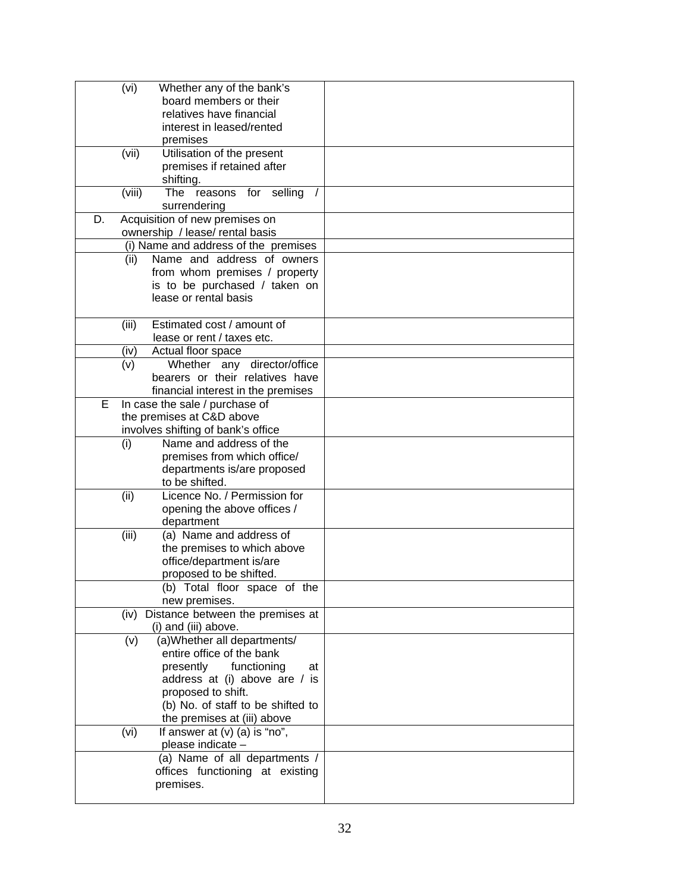| Whether any of the bank's<br>(vi)                                     |          |
|-----------------------------------------------------------------------|----------|
| board members or their                                                |          |
| relatives have financial                                              |          |
| interest in leased/rented                                             |          |
| premises                                                              |          |
| Utilisation of the present<br>(vii)                                   |          |
| premises if retained after                                            |          |
| shifting.                                                             |          |
| (viii)<br>The<br>reasons for selling                                  | $\prime$ |
| surrendering                                                          |          |
| Acquisition of new premises on<br>D.                                  |          |
| ownership / lease/ rental basis                                       |          |
| (i) Name and address of the premises                                  |          |
| Name and address of owners<br>(ii)                                    |          |
| from whom premises / property                                         |          |
| is to be purchased / taken on                                         |          |
| lease or rental basis                                                 |          |
|                                                                       |          |
| Estimated cost / amount of<br>(iii)                                   |          |
| lease or rent / taxes etc.                                            |          |
| Actual floor space<br>(iv)                                            |          |
| (v)<br>Whether any director/office<br>bearers or their relatives have |          |
| financial interest in the premises                                    |          |
| Е<br>In case the sale / purchase of                                   |          |
| the premises at C&D above                                             |          |
| involves shifting of bank's office                                    |          |
| Name and address of the<br>(i)                                        |          |
| premises from which office/                                           |          |
| departments is/are proposed                                           |          |
| to be shifted.                                                        |          |
| Licence No. / Permission for<br>(ii)                                  |          |
| opening the above offices /                                           |          |
| department                                                            |          |
| (a) Name and address of<br>(iii)                                      |          |
| the premises to which above                                           |          |
| office/department is/are                                              |          |
| proposed to be shifted.                                               |          |
| (b) Total floor space of the                                          |          |
| new premises.                                                         |          |
| (iv) Distance between the premises at                                 |          |
| (i) and (iii) above.                                                  |          |
| (a) Whether all departments/<br>(v)                                   |          |
| entire office of the bank                                             |          |
| presently<br>functioning                                              | at       |
| address at (i) above are / is                                         |          |
| proposed to shift.                                                    |          |
| (b) No. of staff to be shifted to                                     |          |
| the premises at (iii) above                                           |          |
| If answer at $(v)$ (a) is "no",<br>(vi)                               |          |
| please indicate -                                                     |          |
| (a) Name of all departments /                                         |          |
| offices functioning at existing                                       |          |
| premises.                                                             |          |
|                                                                       |          |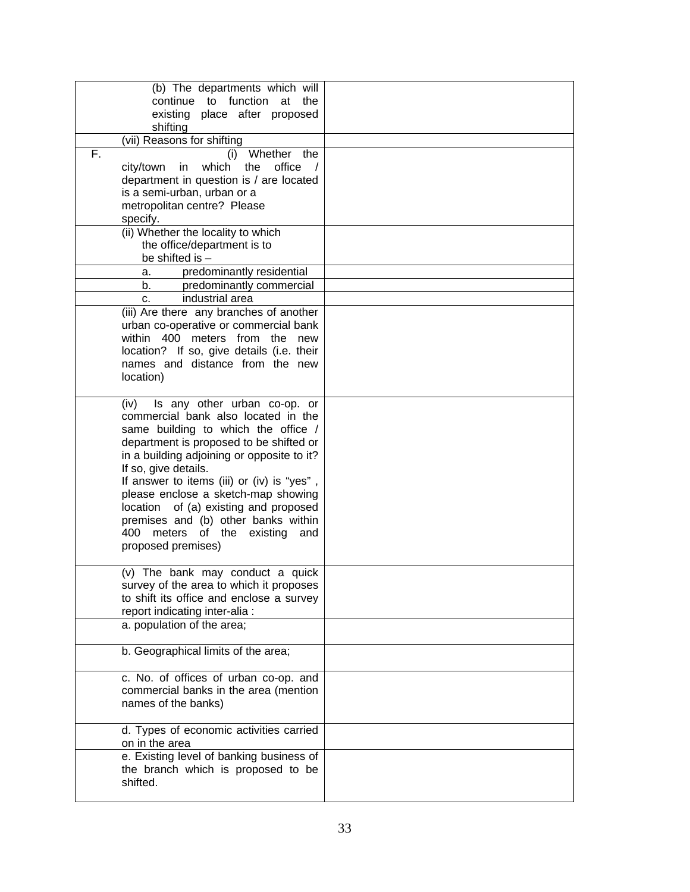| (b) The departments which will<br>continue to function at<br>the<br>existing place after proposed |  |
|---------------------------------------------------------------------------------------------------|--|
| shifting                                                                                          |  |
| (vii) Reasons for shifting                                                                        |  |
| F.<br>Whether<br>the<br>(i)<br>which<br>the<br>office<br>city/town<br>in<br>$\sqrt{ }$            |  |
| department in question is / are located                                                           |  |
| is a semi-urban, urban or a<br>metropolitan centre? Please                                        |  |
| specify.                                                                                          |  |
| (ii) Whether the locality to which                                                                |  |
| the office/department is to                                                                       |  |
| be shifted is $-$<br>predominantly residential<br>а.                                              |  |
| b.<br>predominantly commercial                                                                    |  |
| industrial area<br>$C_{-}$                                                                        |  |
| (iii) Are there any branches of another                                                           |  |
| urban co-operative or commercial bank                                                             |  |
| within 400 meters from the<br>new                                                                 |  |
| location? If so, give details (i.e. their                                                         |  |
| names and distance from the new                                                                   |  |
| location)                                                                                         |  |
| Is any other urban co-op. or<br>(iv)                                                              |  |
| commercial bank also located in the                                                               |  |
| same building to which the office /                                                               |  |
| department is proposed to be shifted or                                                           |  |
| in a building adjoining or opposite to it?<br>If so, give details.                                |  |
| If answer to items (iii) or (iv) is "yes",                                                        |  |
| please enclose a sketch-map showing                                                               |  |
| of (a) existing and proposed<br>location                                                          |  |
| premises and (b) other banks within                                                               |  |
| 400 meters of the existing<br>and                                                                 |  |
| proposed premises)                                                                                |  |
| (v) The bank may conduct a quick                                                                  |  |
| survey of the area to which it proposes                                                           |  |
| to shift its office and enclose a survey                                                          |  |
| report indicating inter-alia :                                                                    |  |
| a. population of the area;                                                                        |  |
| b. Geographical limits of the area;                                                               |  |
| c. No. of offices of urban co-op. and                                                             |  |
| commercial banks in the area (mention                                                             |  |
| names of the banks)                                                                               |  |
| d. Types of economic activities carried                                                           |  |
| on in the area                                                                                    |  |
| e. Existing level of banking business of                                                          |  |
| the branch which is proposed to be<br>shifted.                                                    |  |
|                                                                                                   |  |